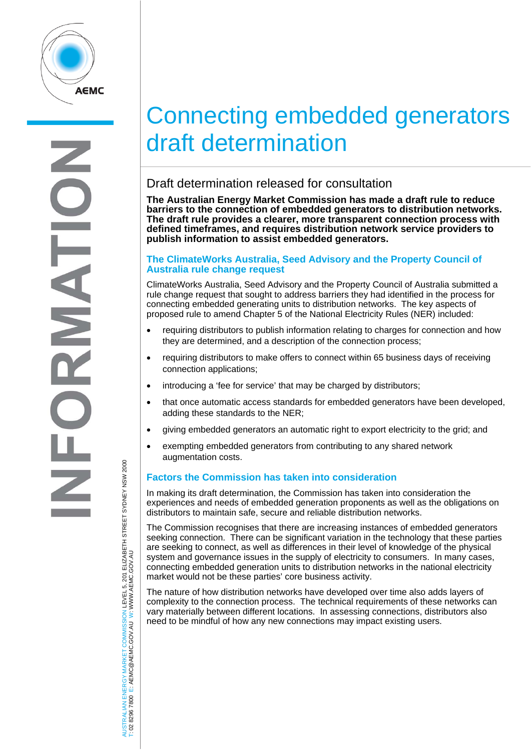

# Connecting embedded generators draft determination

# Draft determination released for consultation

**The Australian Energy Market Commission has made a draft rule to reduce barriers to the connection of embedded generators to distribution networks. The draft rule provides a clearer, more transparent connection process with defined timeframes, and requires distribution network service providers to publish information to assist embedded generators.** 

## **The ClimateWorks Australia, Seed Advisory and the Property Council of Australia rule change request**

ClimateWorks Australia, Seed Advisory and the Property Council of Australia submitted a rule change request that sought to address barriers they had identified in the process for connecting embedded generating units to distribution networks. The key aspects of proposed rule to amend Chapter 5 of the National Electricity Rules (NER) included:

- requiring distributors to publish information relating to charges for connection and how they are determined, and a description of the connection process;
- requiring distributors to make offers to connect within 65 business days of receiving connection applications;
- introducing a 'fee for service' that may be charged by distributors;
- that once automatic access standards for embedded generators have been developed, adding these standards to the NER;
- giving embedded generators an automatic right to export electricity to the grid; and
- exempting embedded generators from contributing to any shared network augmentation costs.

# **Factors the Commission has taken into consideration**

In making its draft determination, the Commission has taken into consideration the experiences and needs of embedded generation proponents as well as the obligations on distributors to maintain safe, secure and reliable distribution networks.

The Commission recognises that there are increasing instances of embedded generators seeking connection. There can be significant variation in the technology that these parties are seeking to connect, as well as differences in their level of knowledge of the physical system and governance issues in the supply of electricity to consumers. In many cases, connecting embedded generation units to distribution networks in the national electricity market would not be these parties' core business activity.

The nature of how distribution networks have developed over time also adds layers of complexity to the connection process. The technical requirements of these networks can vary materially between different locations. In assessing connections, distributors also need to be mindful of how any new connections may impact existing users.

JSTRALIAN ENERGY MARKET COMMISSION LEVEL 5, 201 ELIZABETH STREET SYDNEY NSW 2000<br>02 8296 7800 E: AEMC@AEMC.GOV.AU W: WWW.AEMC.GOV.AU AUSTRALIAN ENERGY MARKET COMMISSION LEVEL 5, 201 ELIZABETH STREET SYDNEY NSW 2000 W: WWW.AEMC.GOV.AU T: 02 8296 7800 E: AEMC@AEMC.GOV.AU